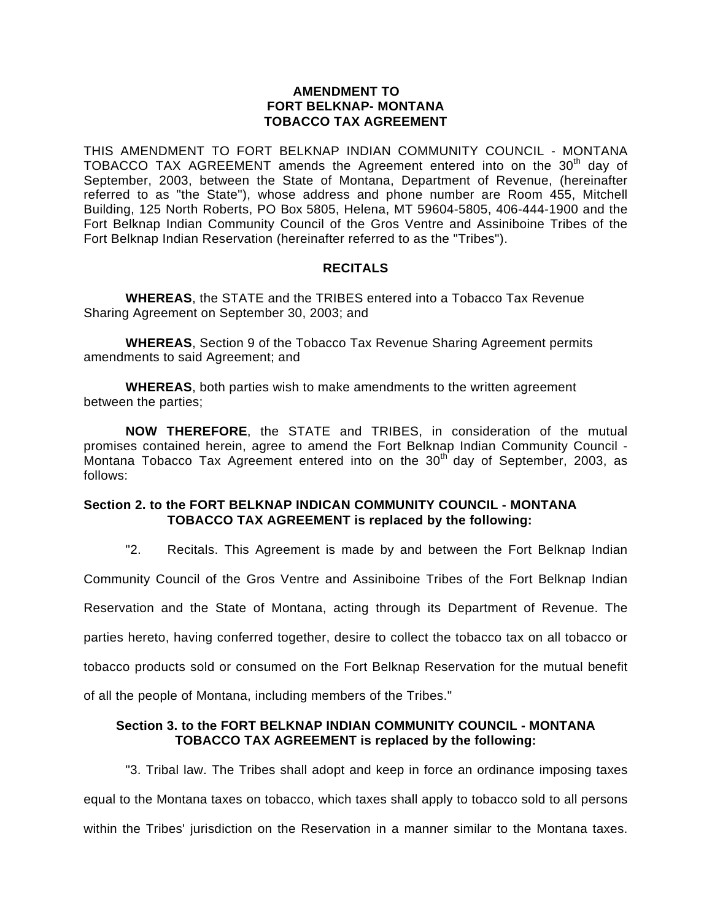#### **AMENDMENT TO FORT BELKNAP- MONTANA TOBACCO TAX AGREEMENT**

THIS AMENDMENT TO FORT BELKNAP INDIAN COMMUNITY COUNCIL - MONTANA TOBACCO TAX AGREEMENT amends the Agreement entered into on the 30<sup>th</sup> day of September, 2003, between the State of Montana, Department of Revenue, (hereinafter referred to as "the State"), whose address and phone number are Room 455, Mitchell Building, 125 North Roberts, PO Box 5805, Helena, MT 59604-5805, 406-444-1900 and the Fort Belknap Indian Community Council of the Gros Ventre and Assiniboine Tribes of the Fort Belknap Indian Reservation (hereinafter referred to as the "Tribes").

## **RECITALS**

**WHEREAS**, the STATE and the TRIBES entered into a Tobacco Tax Revenue Sharing Agreement on September 30, 2003; and

**WHEREAS**, Section 9 of the Tobacco Tax Revenue Sharing Agreement permits amendments to said Agreement; and

**WHEREAS**, both parties wish to make amendments to the written agreement between the parties;

**NOW THEREFORE**, the STATE and TRIBES, in consideration of the mutual promises contained herein, agree to amend the Fort Belknap Indian Community Council - Montana Tobacco Tax Agreement entered into on the  $30<sup>th</sup>$  day of September, 2003, as follows:

## **Section 2. to the FORT BELKNAP INDICAN COMMUNITY COUNCIL - MONTANA TOBACCO TAX AGREEMENT is replaced by the following:**

"2. Recitals. This Agreement is made by and between the Fort Belknap Indian

Community Council of the Gros Ventre and Assiniboine Tribes of the Fort Belknap Indian

Reservation and the State of Montana, acting through its Department of Revenue. The

parties hereto, having conferred together, desire to collect the tobacco tax on all tobacco or

tobacco products sold or consumed on the Fort Belknap Reservation for the mutual benefit

of all the people of Montana, including members of the Tribes."

## **Section 3. to the FORT BELKNAP INDIAN COMMUNITY COUNCIL - MONTANA TOBACCO TAX AGREEMENT is replaced by the following:**

 "3. Tribal law. The Tribes shall adopt and keep in force an ordinance imposing taxes equal to the Montana taxes on tobacco, which taxes shall apply to tobacco sold to all persons within the Tribes' jurisdiction on the Reservation in a manner similar to the Montana taxes.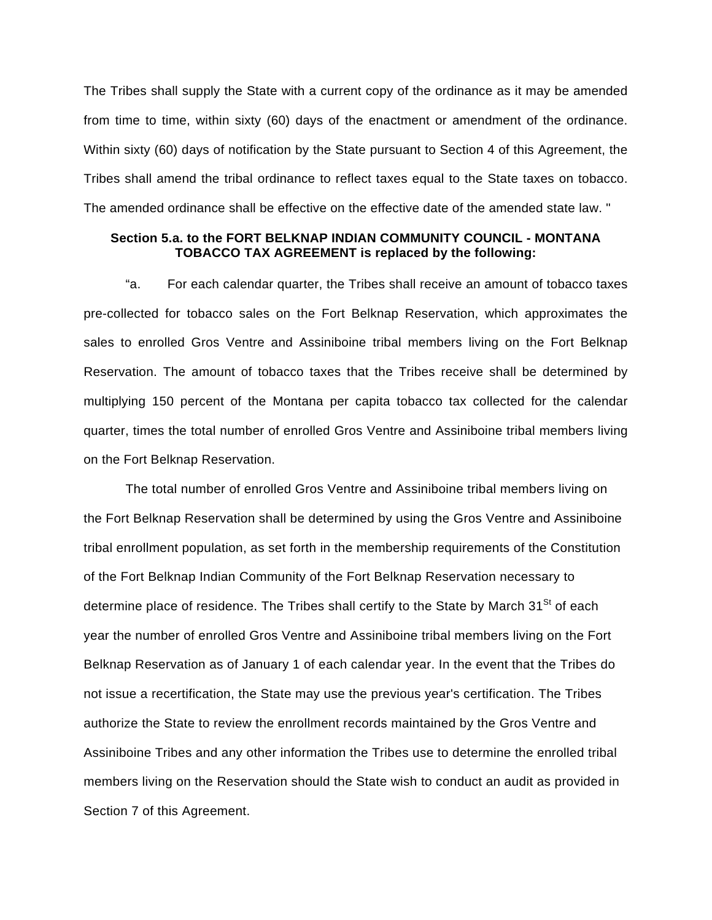The Tribes shall supply the State with a current copy of the ordinance as it may be amended from time to time, within sixty (60) days of the enactment or amendment of the ordinance. Within sixty (60) days of notification by the State pursuant to Section 4 of this Agreement, the Tribes shall amend the tribal ordinance to reflect taxes equal to the State taxes on tobacco. The amended ordinance shall be effective on the effective date of the amended state law. "

# **Section 5.a. to the FORT BELKNAP INDIAN COMMUNITY COUNCIL - MONTANA TOBACCO TAX AGREEMENT is replaced by the following:**

 "a. For each calendar quarter, the Tribes shall receive an amount of tobacco taxes pre-collected for tobacco sales on the Fort Belknap Reservation, which approximates the sales to enrolled Gros Ventre and Assiniboine tribal members living on the Fort Belknap Reservation. The amount of tobacco taxes that the Tribes receive shall be determined by multiplying 150 percent of the Montana per capita tobacco tax collected for the calendar quarter, times the total number of enrolled Gros Ventre and Assiniboine tribal members living on the Fort Belknap Reservation.

 The total number of enrolled Gros Ventre and Assiniboine tribal members living on the Fort Belknap Reservation shall be determined by using the Gros Ventre and Assiniboine tribal enrollment population, as set forth in the membership requirements of the Constitution of the Fort Belknap Indian Community of the Fort Belknap Reservation necessary to determine place of residence. The Tribes shall certify to the State by March 31<sup>St</sup> of each year the number of enrolled Gros Ventre and Assiniboine tribal members living on the Fort Belknap Reservation as of January 1 of each calendar year. In the event that the Tribes do not issue a recertification, the State may use the previous year's certification. The Tribes authorize the State to review the enrollment records maintained by the Gros Ventre and Assiniboine Tribes and any other information the Tribes use to determine the enrolled tribal members living on the Reservation should the State wish to conduct an audit as provided in Section 7 of this Agreement.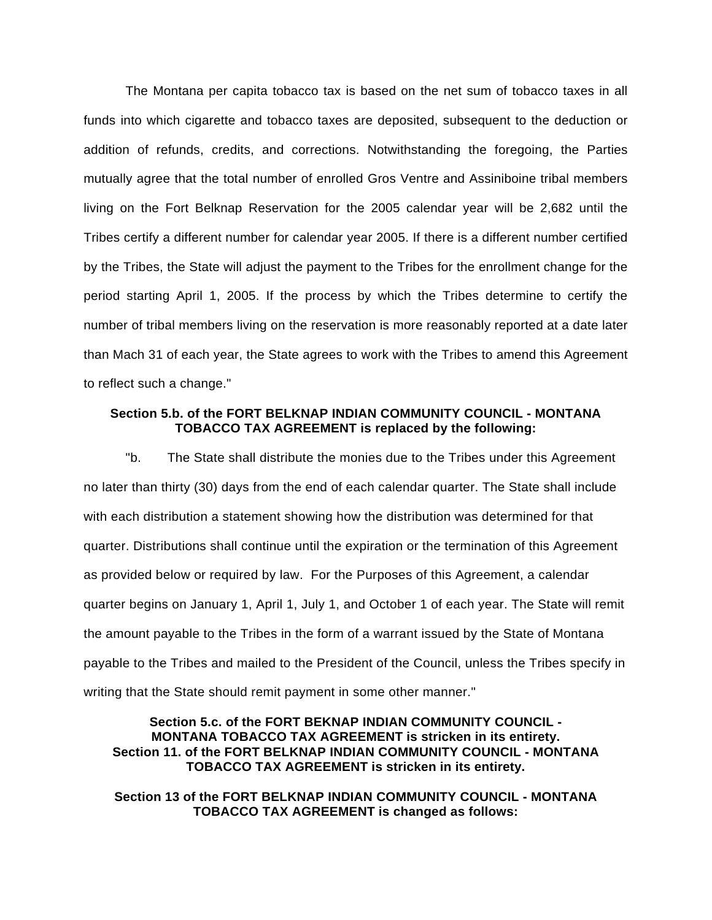The Montana per capita tobacco tax is based on the net sum of tobacco taxes in all funds into which cigarette and tobacco taxes are deposited, subsequent to the deduction or addition of refunds, credits, and corrections. Notwithstanding the foregoing, the Parties mutually agree that the total number of enrolled Gros Ventre and Assiniboine tribal members living on the Fort Belknap Reservation for the 2005 calendar year will be 2,682 until the Tribes certify a different number for calendar year 2005. If there is a different number certified by the Tribes, the State will adjust the payment to the Tribes for the enrollment change for the period starting April 1, 2005. If the process by which the Tribes determine to certify the number of tribal members living on the reservation is more reasonably reported at a date later than Mach 31 of each year, the State agrees to work with the Tribes to amend this Agreement to reflect such a change."

### **Section 5.b. of the FORT BELKNAP INDIAN COMMUNITY COUNCIL - MONTANA TOBACCO TAX AGREEMENT is replaced by the following:**

 "b. The State shall distribute the monies due to the Tribes under this Agreement no later than thirty (30) days from the end of each calendar quarter. The State shall include with each distribution a statement showing how the distribution was determined for that quarter. Distributions shall continue until the expiration or the termination of this Agreement as provided below or required by law. For the Purposes of this Agreement, a calendar quarter begins on January 1, April 1, July 1, and October 1 of each year. The State will remit the amount payable to the Tribes in the form of a warrant issued by the State of Montana payable to the Tribes and mailed to the President of the Council, unless the Tribes specify in writing that the State should remit payment in some other manner."

#### **Section 5.c. of the FORT BEKNAP INDIAN COMMUNITY COUNCIL - MONTANA TOBACCO TAX AGREEMENT is stricken in its entirety. Section 11. of the FORT BELKNAP INDIAN COMMUNITY COUNCIL - MONTANA TOBACCO TAX AGREEMENT is stricken in its entirety.**

**Section 13 of the FORT BELKNAP INDIAN COMMUNITY COUNCIL - MONTANA TOBACCO TAX AGREEMENT is changed as follows:**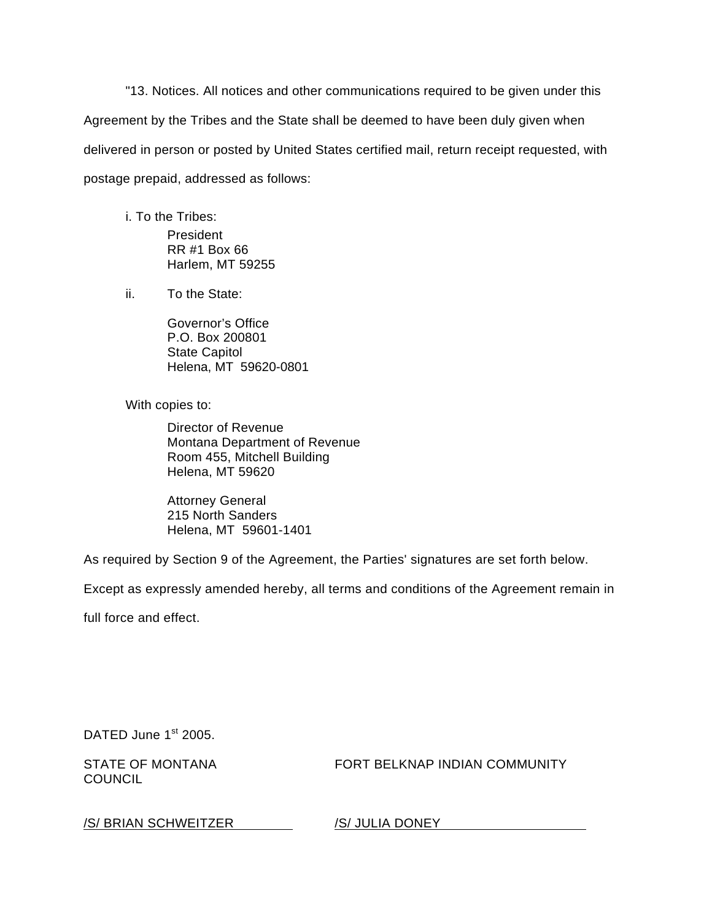"13. Notices. All notices and other communications required to be given under this Agreement by the Tribes and the State shall be deemed to have been duly given when delivered in person or posted by United States certified mail, return receipt requested, with postage prepaid, addressed as follows:

i. To the Tribes:

 President RR #1 Box 66 Harlem, MT 59255

ii. To the State:

Governor's Office P.O. Box 200801 State Capitol Helena, MT 59620-0801

With copies to:

Director of Revenue Montana Department of Revenue Room 455, Mitchell Building Helena, MT 59620

 Attorney General 215 North Sanders Helena, MT 59601-1401

As required by Section 9 of the Agreement, the Parties' signatures are set forth below.

Except as expressly amended hereby, all terms and conditions of the Agreement remain in

full force and effect.

DATED June  $1<sup>st</sup>$  2005.

**COUNCIL** 

STATE OF MONTANAFORT BELKNAP INDIAN COMMUNITY

/S/ BRIAN SCHWEITZER /S/ JULIA DONEY